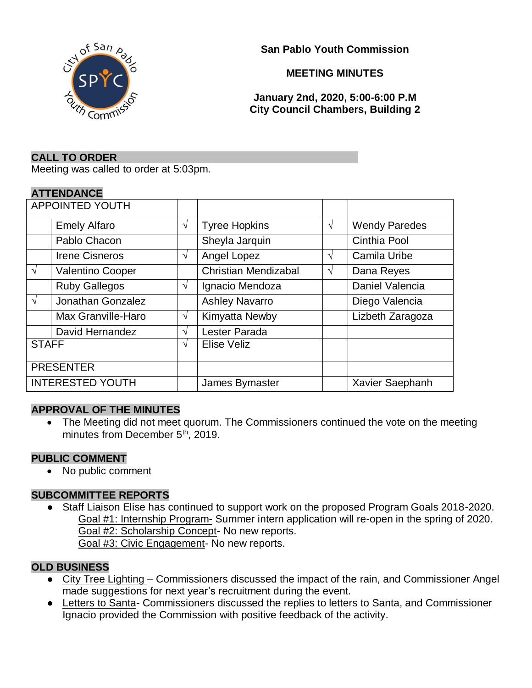

**San Pablo Youth Commission**

## **MEETING MINUTES**

**January 2nd, 2020, 5:00-6:00 P.M City Council Chambers, Building 2**

#### **CALL TO ORDER**

Meeting was called to order at 5:03pm.

#### **ATTENDANCE**

| <b>APPOINTED YOUTH</b>  |                         |               |                             |   |                      |
|-------------------------|-------------------------|---------------|-----------------------------|---|----------------------|
|                         | <b>Emely Alfaro</b>     | $\sqrt{ }$    | <b>Tyree Hopkins</b>        | V | <b>Wendy Paredes</b> |
|                         | Pablo Chacon            |               | Sheyla Jarquin              |   | Cinthia Pool         |
|                         | <b>Irene Cisneros</b>   | $\sqrt{ }$    | Angel Lopez                 | V | Camila Uribe         |
| $\sqrt{ }$              | <b>Valentino Cooper</b> |               | <b>Christian Mendizabal</b> | V | Dana Reyes           |
|                         | <b>Ruby Gallegos</b>    | $\sqrt{ }$    | Ignacio Mendoza             |   | Daniel Valencia      |
| $\sqrt{ }$              | Jonathan Gonzalez       |               | <b>Ashley Navarro</b>       |   | Diego Valencia       |
|                         | Max Granville-Haro      | $\sqrt{ }$    | Kimyatta Newby              |   | Lizbeth Zaragoza     |
|                         | David Hernandez         | $\mathcal{N}$ | Lester Parada               |   |                      |
| <b>STAFF</b>            |                         | $\mathcal{N}$ | Elise Veliz                 |   |                      |
| <b>PRESENTER</b>        |                         |               |                             |   |                      |
| <b>INTERESTED YOUTH</b> |                         |               | James Bymaster              |   | Xavier Saephanh      |

### **APPROVAL OF THE MINUTES**

• The Meeting did not meet quorum. The Commissioners continued the vote on the meeting minutes from December 5<sup>th</sup>, 2019.

#### **PUBLIC COMMENT**

• No public comment

### **SUBCOMMITTEE REPORTS**

● Staff Liaison Elise has continued to support work on the proposed Program Goals 2018-2020. Goal #1: Internship Program- Summer intern application will re-open in the spring of 2020. Goal #2: Scholarship Concept- No new reports. Goal #3: Civic Engagement- No new reports.

### **OLD BUSINESS**

- City Tree Lighting Commissioners discussed the impact of the rain, and Commissioner Angel made suggestions for next year's recruitment during the event.
- Letters to Santa- Commissioners discussed the replies to letters to Santa, and Commissioner Ignacio provided the Commission with positive feedback of the activity.